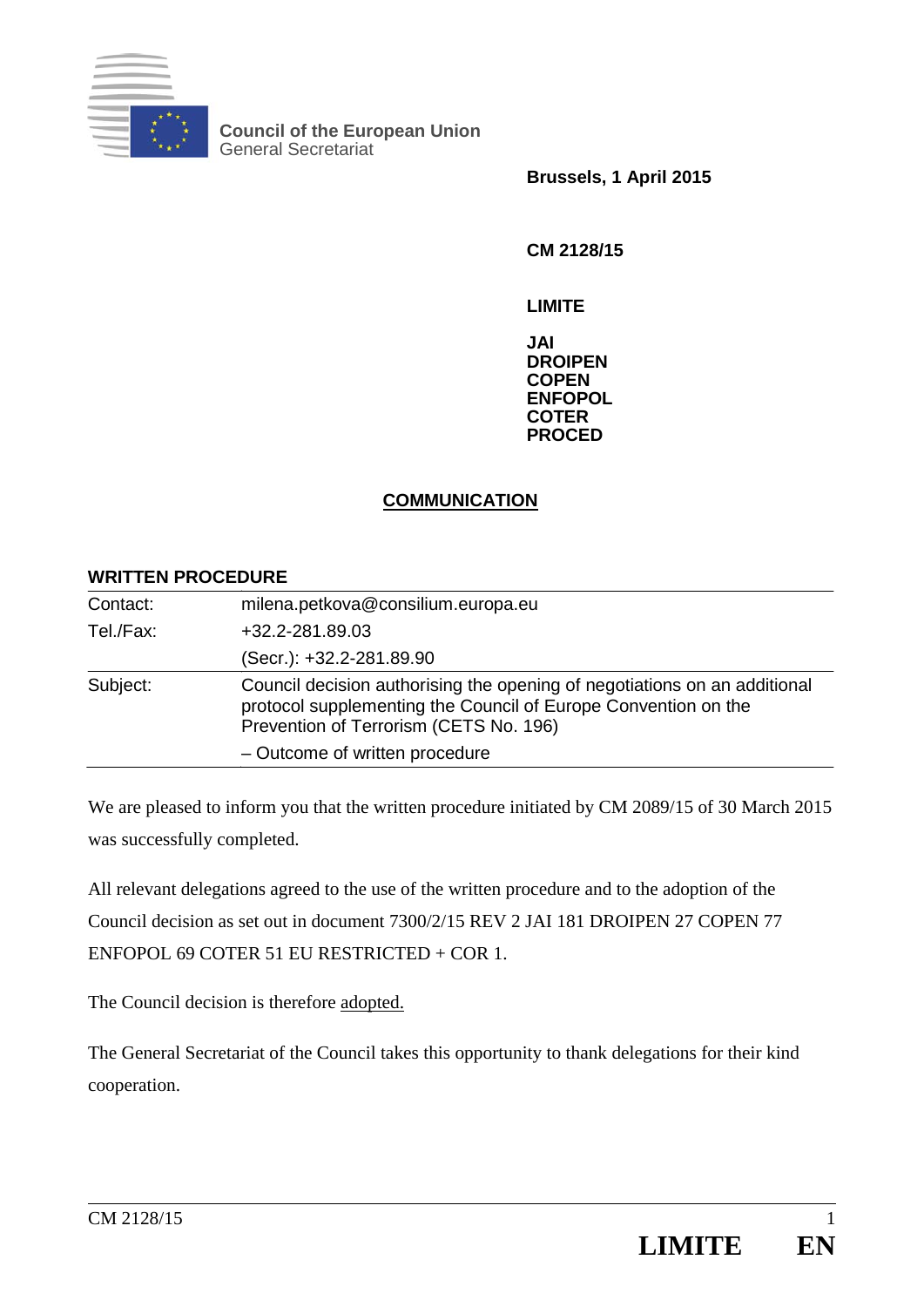

**Council of the European Union**  General Secretariat

**Brussels, 1 April 2015** 

**CM 2128/15** 

**LIMITE** 

**JAI DROIPEN COPEN ENFOPOL COTER PROCED**

### **COMMUNICATION**

### **WRITTEN PROCEDURE**

| Contact:  | milena.petkova@consilium.europa.eu                                                                                                                                                    |
|-----------|---------------------------------------------------------------------------------------------------------------------------------------------------------------------------------------|
| Tel./Fax: | +32.2-281.89.03                                                                                                                                                                       |
|           | (Secr.): +32.2-281.89.90                                                                                                                                                              |
| Subject:  | Council decision authorising the opening of negotiations on an additional<br>protocol supplementing the Council of Europe Convention on the<br>Prevention of Terrorism (CETS No. 196) |
|           | - Outcome of written procedure                                                                                                                                                        |

We are pleased to inform you that the written procedure initiated by CM 2089/15 of 30 March 2015 was successfully completed.

All relevant delegations agreed to the use of the written procedure and to the adoption of the Council decision as set out in document 7300/2/15 REV 2 JAI 181 DROIPEN 27 COPEN 77 ENFOPOL 69 COTER 51 EU RESTRICTED + COR 1.

The Council decision is therefore adopted.

The General Secretariat of the Council takes this opportunity to thank delegations for their kind cooperation.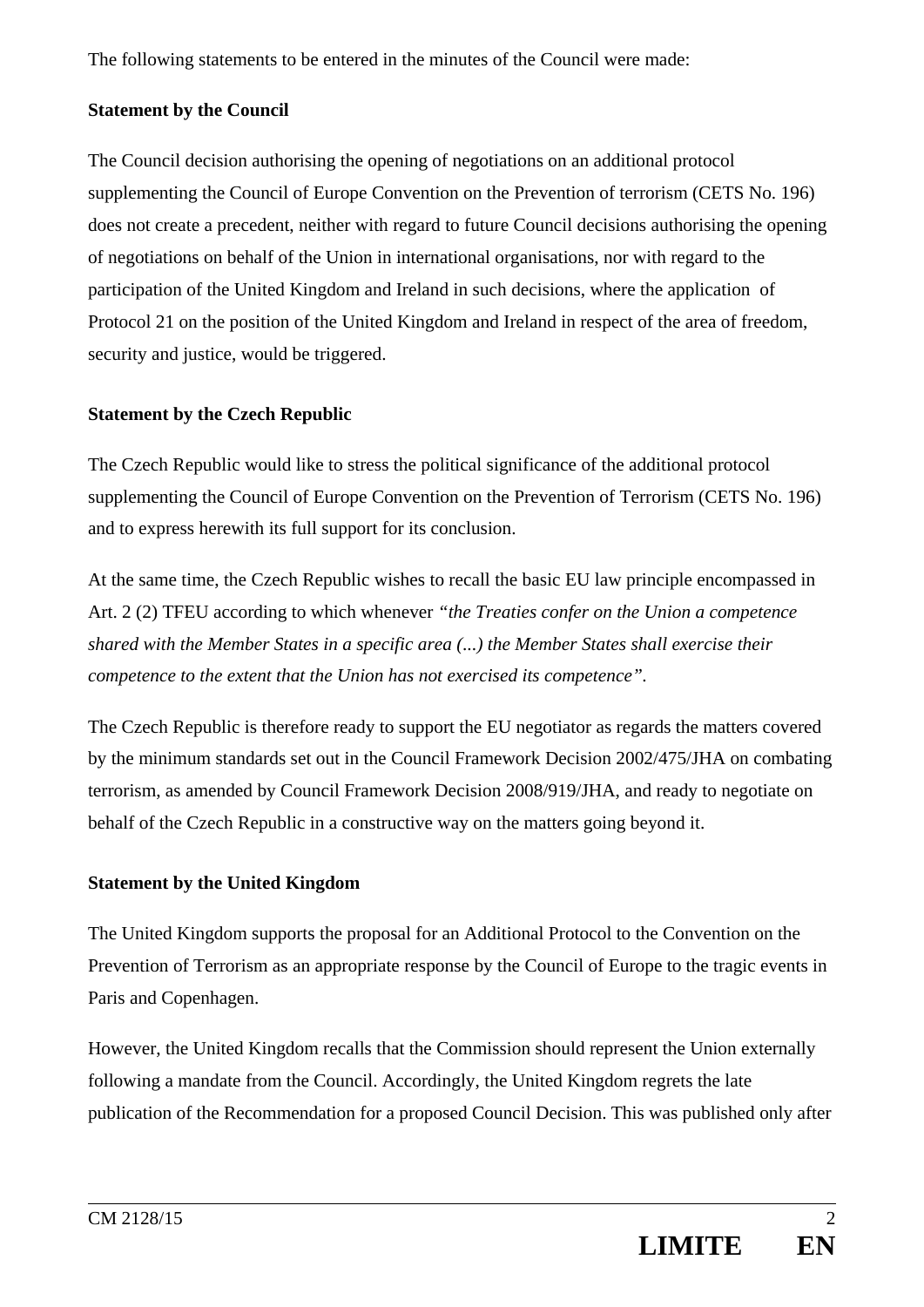The following statements to be entered in the minutes of the Council were made:

## **Statement by the Council**

The Council decision authorising the opening of negotiations on an additional protocol supplementing the Council of Europe Convention on the Prevention of terrorism (CETS No. 196) does not create a precedent, neither with regard to future Council decisions authorising the opening of negotiations on behalf of the Union in international organisations, nor with regard to the participation of the United Kingdom and Ireland in such decisions, where the application of Protocol 21 on the position of the United Kingdom and Ireland in respect of the area of freedom, security and justice, would be triggered.

# **Statement by the Czech Republic**

The Czech Republic would like to stress the political significance of the additional protocol supplementing the Council of Europe Convention on the Prevention of Terrorism (CETS No. 196) and to express herewith its full support for its conclusion.

At the same time, the Czech Republic wishes to recall the basic EU law principle encompassed in Art. 2 (2) TFEU according to which whenever *"the Treaties confer on the Union a competence shared with the Member States in a specific area (...) the Member States shall exercise their competence to the extent that the Union has not exercised its competence".* 

The Czech Republic is therefore ready to support the EU negotiator as regards the matters covered by the minimum standards set out in the Council Framework Decision 2002/475/JHA on combating terrorism, as amended by Council Framework Decision 2008/919/JHA, and ready to negotiate on behalf of the Czech Republic in a constructive way on the matters going beyond it.

# **Statement by the United Kingdom**

The United Kingdom supports the proposal for an Additional Protocol to the Convention on the Prevention of Terrorism as an appropriate response by the Council of Europe to the tragic events in Paris and Copenhagen.

However, the United Kingdom recalls that the Commission should represent the Union externally following a mandate from the Council. Accordingly, the United Kingdom regrets the late publication of the Recommendation for a proposed Council Decision. This was published only after